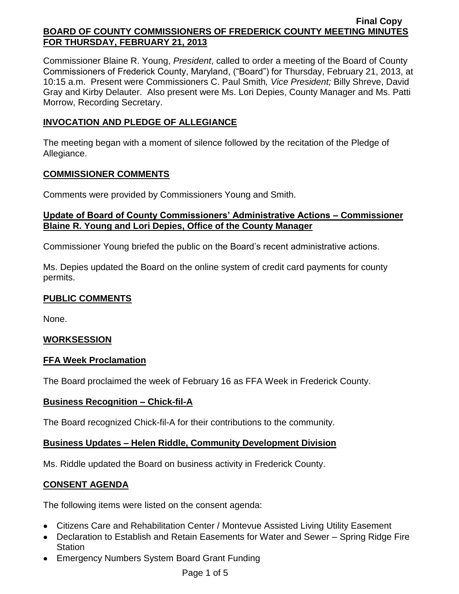Commissioner Blaine R. Young, *President*, called to order a meeting of the Board of County Commissioners of Frederick County, Maryland, ("Board") for Thursday, February 21, 2013, at 10:15 a.m. Present were Commissioners C. Paul Smith*, Vice President;* Billy Shreve, David Gray and Kirby Delauter. Also present were Ms. Lori Depies, County Manager and Ms. Patti Morrow, Recording Secretary.

# **INVOCATION AND PLEDGE OF ALLEGIANCE**

The meeting began with a moment of silence followed by the recitation of the Pledge of Allegiance.

#### **COMMISSIONER COMMENTS**

Comments were provided by Commissioners Young and Smith.

### **Update of Board of County Commissioners' Administrative Actions – Commissioner Blaine R. Young and Lori Depies, Office of the County Manager**

Commissioner Young briefed the public on the Board's recent administrative actions.

Ms. Depies updated the Board on the online system of credit card payments for county permits.

## **PUBLIC COMMENTS**

None.

### **WORKSESSION**

### **FFA Week Proclamation**

The Board proclaimed the week of February 16 as FFA Week in Frederick County.

### **Business Recognition – Chick-fil-A**

The Board recognized Chick-fil-A for their contributions to the community.

### **Business Updates – Helen Riddle, Community Development Division**

Ms. Riddle updated the Board on business activity in Frederick County.

# **CONSENT AGENDA**

The following items were listed on the consent agenda:

- Citizens Care and Rehabilitation Center / Montevue Assisted Living Utility Easement
- Declaration to Establish and Retain Easements for Water and Sewer Spring Ridge Fire **Station**
- Emergency Numbers System Board Grant Funding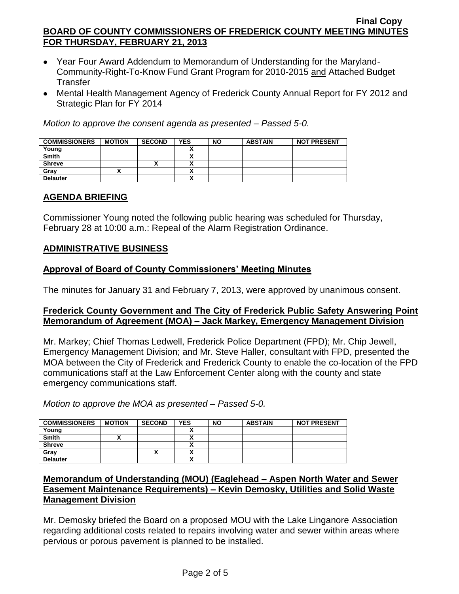- Year Four Award Addendum to Memorandum of Understanding for the Maryland-Community-Right-To-Know Fund Grant Program for 2010-2015 and Attached Budget **Transfer**
- Mental Health Management Agency of Frederick County Annual Report for FY 2012 and Strategic Plan for FY 2014

*Motion to approve the consent agenda as presented – Passed 5-0.*

| <b>COMMISSIONERS</b> | <b>MOTION</b> | <b>SECOND</b> | <b>YES</b>               | <b>NO</b> | <b>ABSTAIN</b> | <b>NOT PRESENT</b> |
|----------------------|---------------|---------------|--------------------------|-----------|----------------|--------------------|
| Young                |               |               |                          |           |                |                    |
| <b>Smith</b>         |               |               |                          |           |                |                    |
| <b>Shreve</b>        |               | "             | $\overline{\phantom{a}}$ |           |                |                    |
| Gray                 |               |               | $\mathbf{v}$             |           |                |                    |
| <b>Delauter</b>      |               |               | $\mathbf{v}$             |           |                |                    |

# **AGENDA BRIEFING**

Commissioner Young noted the following public hearing was scheduled for Thursday, February 28 at 10:00 a.m.: Repeal of the Alarm Registration Ordinance.

# **ADMINISTRATIVE BUSINESS**

# **Approval of Board of County Commissioners' Meeting Minutes**

The minutes for January 31 and February 7, 2013, were approved by unanimous consent.

### **Frederick County Government and The City of Frederick Public Safety Answering Point Memorandum of Agreement (MOA) – Jack Markey, Emergency Management Division**

Mr. Markey; Chief Thomas Ledwell, Frederick Police Department (FPD); Mr. Chip Jewell, Emergency Management Division; and Mr. Steve Haller, consultant with FPD, presented the MOA between the City of Frederick and Frederick County to enable the co-location of the FPD communications staff at the Law Enforcement Center along with the county and state emergency communications staff.

*Motion to approve the MOA as presented – Passed 5-0.*

| <b>COMMISSIONERS</b> | <b>MOTION</b> | <b>SECOND</b> | <b>YES</b> | <b>NO</b> | <b>ABSTAIN</b> | <b>NOT PRESENT</b> |
|----------------------|---------------|---------------|------------|-----------|----------------|--------------------|
| Young                |               |               |            |           |                |                    |
| <b>Smith</b>         |               |               |            |           |                |                    |
| <b>Shreve</b>        |               |               |            |           |                |                    |
| Gray                 |               | ↗             |            |           |                |                    |
| <b>Delauter</b>      |               |               |            |           |                |                    |

# **Memorandum of Understanding (MOU) (Eaglehead – Aspen North Water and Sewer Easement Maintenance Requirements) – Kevin Demosky, Utilities and Solid Waste Management Division**

Mr. Demosky briefed the Board on a proposed MOU with the Lake Linganore Association regarding additional costs related to repairs involving water and sewer within areas where pervious or porous pavement is planned to be installed.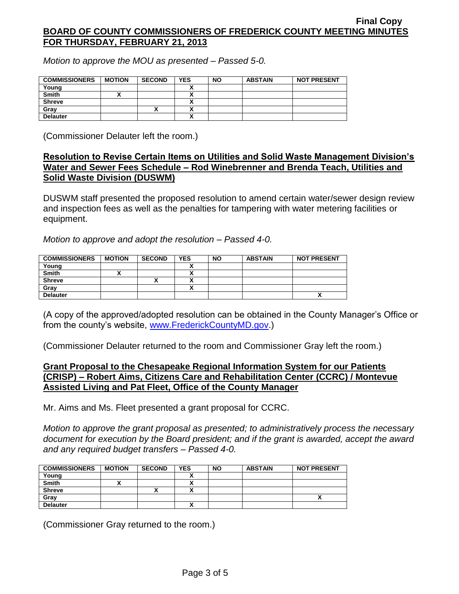*Motion to approve the MOU as presented – Passed 5-0.*

| <b>COMMISSIONERS</b> | <b>MOTION</b> | <b>SECOND</b> | <b>YES</b> | <b>NO</b> | <b>ABSTAIN</b> | <b>NOT PRESENT</b> |
|----------------------|---------------|---------------|------------|-----------|----------------|--------------------|
| Young                |               |               |            |           |                |                    |
| <b>Smith</b>         |               |               |            |           |                |                    |
| <b>Shreve</b>        |               |               |            |           |                |                    |
| Grav                 |               | ́             |            |           |                |                    |
| <b>Delauter</b>      |               |               |            |           |                |                    |

(Commissioner Delauter left the room.)

### **Resolution to Revise Certain Items on Utilities and Solid Waste Management Division's Water and Sewer Fees Schedule – Rod Winebrenner and Brenda Teach, Utilities and Solid Waste Division (DUSWM)**

DUSWM staff presented the proposed resolution to amend certain water/sewer design review and inspection fees as well as the penalties for tampering with water metering facilities or equipment.

*Motion to approve and adopt the resolution – Passed 4-0.*

| <b>COMMISSIONERS</b> | <b>MOTION</b> | <b>SECOND</b> | <b>YES</b> | <b>NO</b> | <b>ABSTAIN</b> | <b>NOT PRESENT</b> |
|----------------------|---------------|---------------|------------|-----------|----------------|--------------------|
| Young                |               |               |            |           |                |                    |
| <b>Smith</b>         |               |               |            |           |                |                    |
| <b>Shreve</b>        |               | ,,            |            |           |                |                    |
| Gray                 |               |               |            |           |                |                    |
| <b>Delauter</b>      |               |               |            |           |                | ^                  |

(A copy of the approved/adopted resolution can be obtained in the County Manager's Office or from the county's website, [www.FrederickCountyMD.gov.](http://www.frederickcountymd.gov/))

(Commissioner Delauter returned to the room and Commissioner Gray left the room.)

### **Grant Proposal to the Chesapeake Regional Information System for our Patients (CRISP) – Robert Aims, Citizens Care and Rehabilitation Center (CCRC) / Montevue Assisted Living and Pat Fleet, Office of the County Manager**

Mr. Aims and Ms. Fleet presented a grant proposal for CCRC.

*Motion to approve the grant proposal as presented; to administratively process the necessary document for execution by the Board president; and if the grant is awarded, accept the award and any required budget transfers – Passed 4-0.*

| <b>COMMISSIONERS</b> | <b>MOTION</b> | <b>SECOND</b> | <b>YES</b>   | <b>NO</b> | <b>ABSTAIN</b> | <b>NOT PRESENT</b> |
|----------------------|---------------|---------------|--------------|-----------|----------------|--------------------|
| Young                |               |               |              |           |                |                    |
| <b>Smith</b>         |               |               |              |           |                |                    |
| <b>Shreve</b>        |               |               |              |           |                |                    |
| Gray                 |               |               |              |           |                |                    |
| <b>Delauter</b>      |               |               | $\mathbf{v}$ |           |                |                    |

(Commissioner Gray returned to the room.)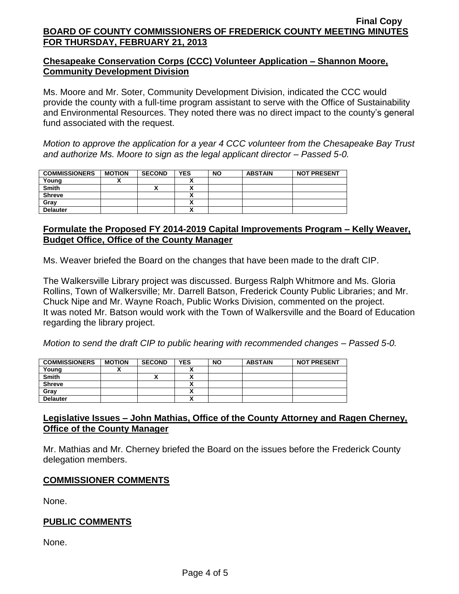# **Chesapeake Conservation Corps (CCC) Volunteer Application – Shannon Moore, Community Development Division**

Ms. Moore and Mr. Soter, Community Development Division, indicated the CCC would provide the county with a full-time program assistant to serve with the Office of Sustainability and Environmental Resources. They noted there was no direct impact to the county's general fund associated with the request.

*Motion to approve the application for a year 4 CCC volunteer from the Chesapeake Bay Trust and authorize Ms. Moore to sign as the legal applicant director – Passed 5-0.*

| <b>COMMISSIONERS</b> | <b>MOTION</b> | <b>SECOND</b> | <b>YES</b> | <b>NO</b> | <b>ABSTAIN</b> | <b>NOT PRESENT</b> |
|----------------------|---------------|---------------|------------|-----------|----------------|--------------------|
| Young                |               |               |            |           |                |                    |
| <b>Smith</b>         |               |               |            |           |                |                    |
| <b>Shreve</b>        |               |               |            |           |                |                    |
| Gray                 |               |               |            |           |                |                    |
| <b>Delauter</b>      |               |               |            |           |                |                    |

# **Formulate the Proposed FY 2014-2019 Capital Improvements Program – Kelly Weaver, Budget Office, Office of the County Manager**

Ms. Weaver briefed the Board on the changes that have been made to the draft CIP.

The Walkersville Library project was discussed. Burgess Ralph Whitmore and Ms. Gloria Rollins, Town of Walkersville; Mr. Darrell Batson, Frederick County Public Libraries; and Mr. Chuck Nipe and Mr. Wayne Roach, Public Works Division, commented on the project. It was noted Mr. Batson would work with the Town of Walkersville and the Board of Education regarding the library project.

*Motion to send the draft CIP to public hearing with recommended changes – Passed 5-0.*

| <b>COMMISSIONERS</b> | <b>MOTION</b> | <b>SECOND</b> | <b>YES</b> | <b>NO</b> | <b>ABSTAIN</b> | <b>NOT PRESENT</b> |
|----------------------|---------------|---------------|------------|-----------|----------------|--------------------|
| Young                |               |               |            |           |                |                    |
| <b>Smith</b>         |               |               |            |           |                |                    |
| <b>Shreve</b>        |               |               |            |           |                |                    |
| Gray                 |               |               |            |           |                |                    |
| <b>Delauter</b>      |               |               |            |           |                |                    |

# **Legislative Issues – John Mathias, Office of the County Attorney and Ragen Cherney, Office of the County Manager**

Mr. Mathias and Mr. Cherney briefed the Board on the issues before the Frederick County delegation members.

# **COMMISSIONER COMMENTS**

None.

# **PUBLIC COMMENTS**

None.